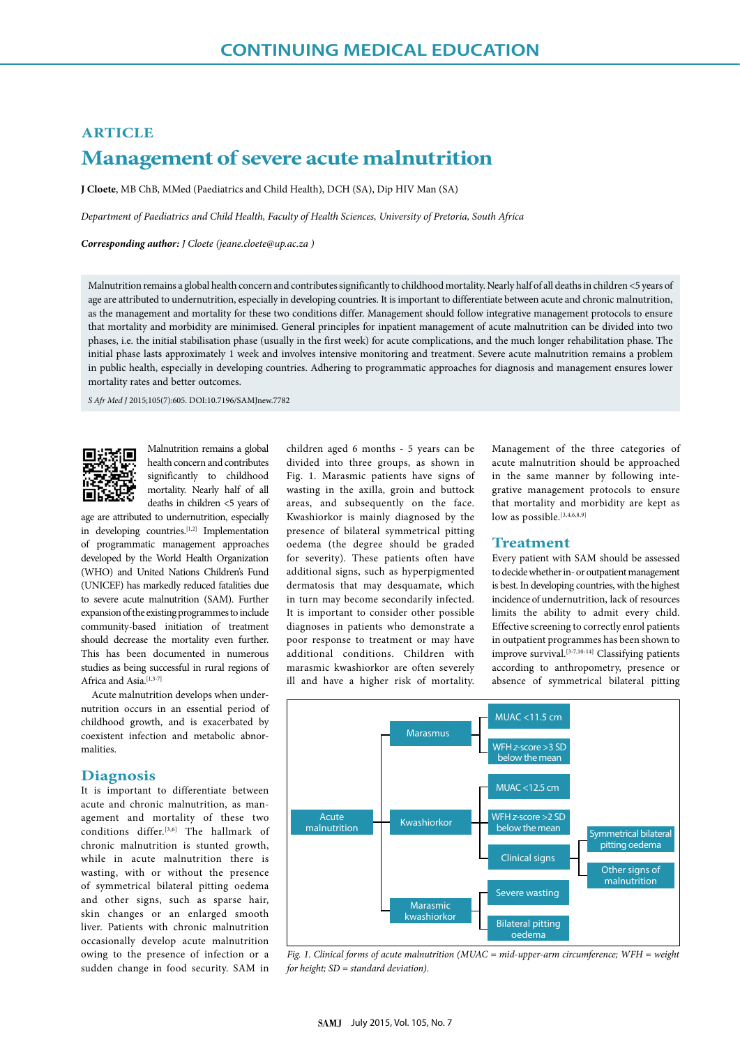# **ARTICLE Management of severe acute malnutrition**

**J Cloete**, MB ChB, MMed (Paediatrics and Child Health), DCH (SA), Dip HIV Man (SA)

*Department of Paediatrics and Child Health, Faculty of Health Sciences, University of Pretoria, South Africa*

*Corresponding author: J Cloete (jeane.cloete@up.ac.za )*

Malnutrition remains a global health concern and contributes significantly to childhood mortality. Nearly half of all deaths in children <5 years of age are attributed to undernutrition, especially in developing countries. It is important to differentiate between acute and chronic malnutrition, as the management and mortality for these two conditions differ. Management should follow integrative management protocols to ensure that mortality and morbidity are minimised. General principles for inpatient management of acute malnutrition can be divided into two phases, i.e. the initial stabilisation phase (usually in the first week) for acute complications, and the much longer rehabilitation phase. The initial phase lasts approximately 1 week and involves intensive monitoring and treatment. Severe acute malnutrition remains a problem in public health, especially in developing countries. Adhering to programmatic approaches for diagnosis and management ensures lower mortality rates and better outcomes.

*S Afr Med J* 2015;105(7):605. DOI:10.7196/SAMJnew.7782



Malnutrition remains a global health concern and contributes significantly to childhood mortality. Nearly half of all deaths in children <5 years of

age are attributed to undernutrition, especially in developing countries.<sup>[1,2]</sup> Implementation of programmatic management approaches developed by the World Health Organization (WHO) and United Nations Children's Fund (UNICEF) has markedly reduced fatalities due to severe acute malnutrition (SAM). Further expansion of the existing programmes to include community-based initiation of treatment should decrease the mortality even further. This has been documented in numerous studies as being successful in rural regions of Africa and Asia.<sup>[1,3-7]</sup>

Acute malnutrition develops when undernutrition occurs in an essential period of childhood growth, and is exacerbated by coexistent infection and metabolic abnormalities.

# **Diagnosis**

It is important to differentiate between acute and chronic malnutrition, as management and mortality of these two conditions differ.<sup>[3,6]</sup> The hallmark of chronic malnutrition is stunted growth, while in acute malnutrition there is wasting, with or without the presence of symmetrical bilateral pitting oedema and other signs, such as sparse hair, skin changes or an enlarged smooth liver. Patients with chronic malnutrition occasionally develop acute malnutrition owing to the presence of infection or a sudden change in food security. SAM in

children aged 6 months - 5 years can be divided into three groups, as shown in Fig. 1. Marasmic patients have signs of wasting in the axilla, groin and buttock areas, and subsequently on the face. Kwashiorkor is mainly diagnosed by the presence of bilateral symmetrical pitting oedema (the degree should be graded for severity). These patients often have additional signs, such as hyperpigmented dermatosis that may desquamate, which in turn may become secondarily infected. It is important to consider other possible diagnoses in patients who demonstrate a poor response to treatment or may have additional conditions. Children with marasmic kwashiorkor are often severely ill and have a higher risk of mortality.

Management of the three categories of acute malnutrition should be approached in the same manner by following integrative management protocols to ensure that mortality and morbidity are kept as low as possible.<sup>[3,4,6,8,9]</sup>

## **Treatment**

Every patient with SAM should be assessed to decide whether in- or outpatient management is best. In developing countries, with the highest incidence of undernutrition, lack of resources limits the ability to admit every child. Effective screening to correctly enrol patients in outpatient programmes has been shown to improve survival.[3-7,10-14] Classifying patients according to anthropometry, presence or absence of symmetrical bilateral pitting



*Fig. 1. Clinical forms of acute malnutrition (MUAC = mid-upper-arm circumference; WFH = weight for height; SD = standard deviation).*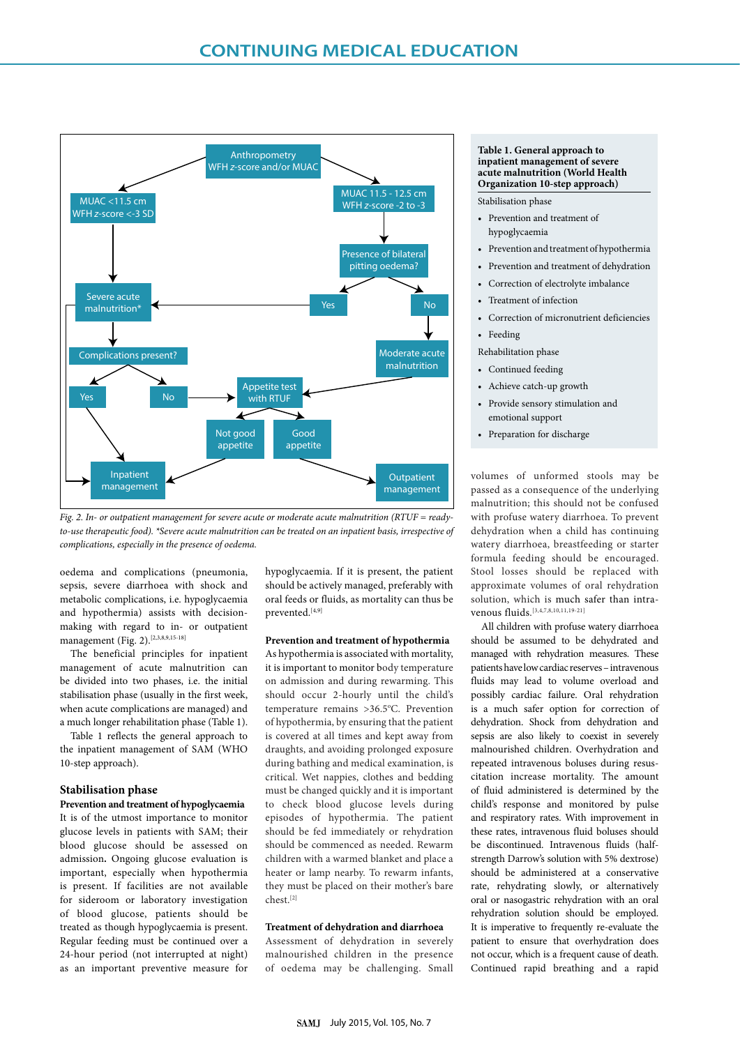

*Fig. 2. In- or outpatient management for severe acute or moderate acute malnutrition (RTUF = readyto-use therapeutic food). \*Severe acute malnutrition can be treated on an inpatient basis, irrespective of complications, especially in the presence of oedema.*

oedema and complications (pneumonia, sepsis, severe diarrhoea with shock and metabolic complications, i.e. hypoglycaemia and hypothermia) assists with decisionmaking with regard to in- or outpatient management (Fig. 2).<sup>[2,3,8,9,15-18]</sup>

The beneficial principles for inpatient management of acute malnutrition can be divided into two phases, i.e. the initial stabilisation phase (usually in the first week, when acute complications are managed) and a much longer rehabilitation phase (Table 1).

Table 1 reflects the general approach to the inpatient management of SAM (WHO 10-step approach).

# **Stabilisation phase**

**Prevention and treatment of hypoglycaemia** It is of the utmost importance to monitor glucose levels in patients with SAM; their blood glucose should be assessed on admission**.** Ongoing glucose evaluation is important, especially when hypothermia is present. If facilities are not available for sideroom or laboratory investigation of blood glucose, patients should be treated as though hypoglycaemia is present. Regular feeding must be continued over a 24-hour period (not interrupted at night) as an important preventive measure for hypoglycaemia. If it is present, the patient should be actively managed, preferably with oral feeds or fluids, as mortality can thus be prevented.[4,9]

#### **Prevention and treatment of hypothermia**

As hypothermia is associated with mortality, it is important to monitor body temperature on admission and during rewarming. This should occur 2-hourly until the child's temperature remains > 36.5°C. Prevention of hypothermia, by ensuring that the patient is covered at all times and kept away from draughts, and avoiding prolonged exposure during bathing and medical examination, is critical. Wet nappies, clothes and bedding must be changed quickly and it is important to check blood glucose levels during episodes of hypothermia. The patient should be fed immediately or rehydration should be commenced as needed. Rewarm children with a warmed blanket and place a heater or lamp nearby. To rewarm infants, they must be placed on their mother's bare chest.[2]

## **Treatment of dehydration and diarrhoea**

Assessment of dehydration in severely malnourished children in the presence of oedema may be challenging. Small

### **Table 1. General approach to inpatient management of severe acute malnutrition (World Health Organization 10-step approach)**

Stabilisation phase

- Prevention and treatment of hypoglycaemia
- Prevention and treatment of hypothermia
- Prevention and treatment of dehydration
- Correction of electrolyte imbalance
- Treatment of infection
- Correction of micronutrient deficiencies
- Feeding
- Rehabilitation phase
- Continued feeding
- Achieve catch-up growth
- Provide sensory stimulation and emotional support
- Preparation for discharge

volumes of unformed stools may be passed as a consequence of the underlying malnutrition; this should not be confused with profuse watery diarrhoea. To prevent dehydration when a child has continuing watery diarrhoea, breastfeeding or starter formula feeding should be encouraged. Stool losses should be replaced with approximate volumes of oral rehydration solution, which is much safer than intravenous fluids. [3,4,7,8,10,11,19-21]

All children with profuse watery diarrhoea should be assumed to be dehydrated and managed with rehydration measures. These patients have low cardiac reserves – intravenous fluids may lead to volume overload and possibly cardiac failure. Oral rehydration is a much safer option for correction of dehydration. Shock from dehydration and sepsis are also likely to coexist in severely malnourished children. Overhydration and repeated intravenous boluses during resuscitation increase mortality. The amount of fluid administered is determined by the child's response and monitored by pulse and respiratory rates. With improvement in these rates, intravenous fluid boluses should be discontinued. Intravenous fluids (halfstrength Darrow's solution with 5% dextrose) should be administered at a conservative rate, rehydrating slowly, or alternatively oral or nasogastric rehydration with an oral rehydration solution should be employed. It is imperative to frequently re-evaluate the patient to ensure that overhydration does not occur, which is a frequent cause of death. Continued rapid breathing and a rapid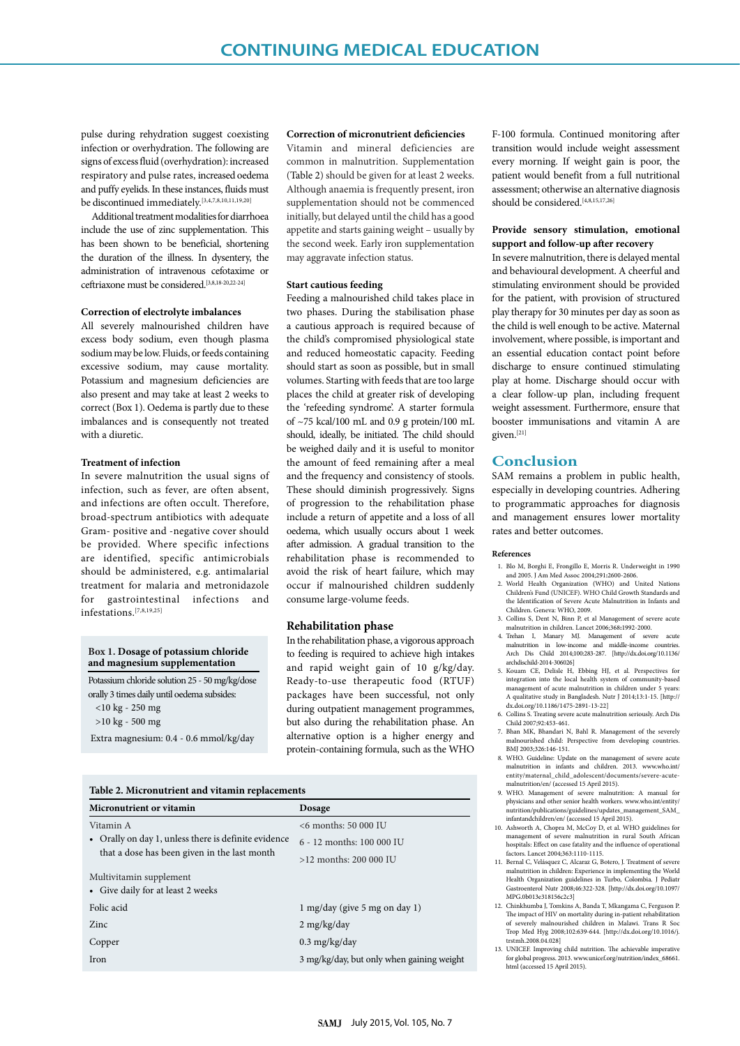pulse during rehydration suggest coexisting infection or overhydration. The following are signs of excess fluid (overhydration): increased respiratory and pulse rates, increased oedema and puffy eyelids. In these instances, fluids must be discontinued immediately.[3,4,7,8,10,11,19,20]

Additional treatment modalities for diarrhoea include the use of zinc supplementation. This has been shown to be beneficial, shortening the duration of the illness. In dysentery, the administration of intravenous cefotaxime or ceftriaxone must be considered.[3,8,18-20,22-24]

#### **Correction of electrolyte imbalances**

All severely malnourished children have excess body sodium, even though plasma sodium may be low. Fluids, or feeds containing excessive sodium, may cause mortality. Potassium and magnesium deficiencies are also present and may take at least 2 weeks to correct (Box 1). Oedema is partly due to these imbalances and is consequently not treated with a diuretic.

# **Treatment of infection**

In severe malnutrition the usual signs of infection, such as fever, are often absent, and infections are often occult. Therefore, broad-spectrum antibiotics with adequate Gram- positive and -negative cover should be provided. Where specific infections are identified, specific antimicrobials should be administered, e.g. antimalarial treatment for malaria and metronidazole for gastrointestinal infections and infestations.[7,8,19,25]

#### **Box 1. Dosage of potassium chloride and magnesium supplementation**

Potassium chloride solution 25 - 50 mg/kg/dose orally 3 times daily until oedema subsides: <10 kg - 250 mg >10 kg - 500 mg Extra magnesium: 0.4 - 0.6 mmol/kg/day

#### **Correction of micronutrient deficiencies**

Vitamin and mineral deficiencies are common in malnutrition. Supplementation (Table 2) should be given for at least 2 weeks. Although anaemia is frequently present, iron supplementation should not be commenced initially, but delayed until the child has a good appetite and starts gaining weight – usually by the second week. Early iron supplementation may aggravate infection status.

#### **Start cautious feeding**

Feeding a malnourished child takes place in two phases. During the stabilisation phase a cautious approach is required because of the child's compromised physiological state and reduced homeostatic capacity. Feeding should start as soon as possible, but in small volumes. Starting with feeds that are too large places the child at greater risk of developing the 'refeeding syndrome'. A starter formula of  $\sim$ 75 kcal/100 mL and 0.9 g protein/100 mL should, ideally, be initiated. The child should be weighed daily and it is useful to monitor the amount of feed remaining after a meal and the frequency and consistency of stools. These should diminish progressively. Signs of progression to the rehabilitation phase include a return of appetite and a loss of all oedema, which usually occurs about 1 week after admission. A gradual transition to the rehabilitation phase is recommended to avoid the risk of heart failure, which may occur if malnourished children suddenly consume large-volume feeds.

#### **Rehabilitation phase**

In the rehabilitation phase, a vigorous approach to feeding is required to achieve high intakes and rapid weight gain of 10 g/kg/day. Ready-to-use therapeutic food (RTUF) packages have been successful, not only during outpatient management programmes, but also during the rehabilitation phase. An alternative option is a higher energy and protein-containing formula, such as the WHO

|  |  |  |  |  |  |  | Table 2. Micronutrient and vitamin replacements |
|--|--|--|--|--|--|--|-------------------------------------------------|
|--|--|--|--|--|--|--|-------------------------------------------------|

| Micronutrient or vitamin                           | Dosage                                    |  |  |
|----------------------------------------------------|-------------------------------------------|--|--|
| Vitamin A                                          | $<$ 6 months: 50 000 IU                   |  |  |
| Orally on day 1, unless there is definite evidence | 6 - 12 months: 100 000 IU                 |  |  |
| that a dose has been given in the last month       | $>12$ months: 200 000 IU                  |  |  |
| Multivitamin supplement                            |                                           |  |  |
| • Give daily for at least 2 weeks                  |                                           |  |  |
| Folic acid                                         | $1 \text{ mg/day}$ (give 5 mg on day 1)   |  |  |
| Zinc.                                              | $2 \frac{\text{mg}}{\text{kg}}$           |  |  |
| Copper                                             | $0.3 \text{ mg/kg/day}$                   |  |  |
| Iron                                               | 3 mg/kg/day, but only when gaining weight |  |  |
|                                                    |                                           |  |  |

F-100 formula. Continued monitoring after transition would include weight assessment every morning. If weight gain is poor, the patient would benefit from a full nutritional assessment; otherwise an alternative diagnosis should be considered.<sup>[4,8,15,17,26]</sup>

## **Provide sensory stimulation, emotional support and follow-up after recovery**

In severe malnutrition, there is delayed mental and behavioural development. A cheerful and stimulating environment should be provided for the patient, with provision of structured play therapy for 30 minutes per day as soon as the child is well enough to be active. Maternal involvement, where possible, is important and an essential education contact point before discharge to ensure continued stimulating play at home. Discharge should occur with a clear follow-up plan, including frequent weight assessment. Furthermore, ensure that booster immunisations and vitamin A are given.[21]

# **Conclusion**

SAM remains a problem in public health, especially in developing countries. Adhering to programmatic approaches for diagnosis and management ensures lower mortality rates and better outcomes.

#### **References**

- 1. Blo M, Borghi E, Frongillo E, Morris R. Underweight in 1990 and 2005. J Am Med Assoc 2004;291**:**2600-2606.
- 2. World Health Organization (WHO) and United Nations Children's Fund (UNICEF). WHO Child Growth Standards and the Identification of Severe Acute Malnutrition in Infants and Children. Geneva: WHO, 2009.
- 3. Collins S, Dent N, Binn P, et al Management of severe acute malnutrition in children. Lancet 2006;368**:**1992-2000.
- 4. Trehan I, Manary MJ. Management of severe acute malnutrition in low-income and middle-income countries. Arch Dis Child 2014;100:283-287. [http://dx.doi.org/10.1136/ archdischild-2014-306026]
- 5. Kouam CE, Delisle H, Ebbing HJ, et al*.* Perspectives for integration into the local health system of community-based management of acute malnutrition in children under 5 years: A qualitative study in Bangladesh. Nutr J 2014;13:1-15. [http:// dx.doi.org/10.1186/1475-2891-13-22]
- 6. Collins S. Treating severe acute malnutrition seriously. Arch Dis Child 2007;92:453-461.
- 7. Bhan MK, Bhandari N, Bahl R. Management of the severely malnourished child: Perspective from developing countries. BMJ 2003;326:146-151.
- 8. WHO. Guideline: Update on the management of severe acute malnutrition in infants and children. 2013. www.who.int/ entity/maternal\_child\_adolescent/documents/severe-acutemalnutrition/en/ (accessed 15 April 2015).
- 9. WHO. Management of severe malnutrition: A manual for physicians and other senior health workers. www.who.int/entity nutrition/publications/guidelines/updates\_management\_SAM nfantandchildren/en/ (accessed 15 April 2015).
- 10. Ashworth A, Chopra M, McCoy D, et al*.* WHO guidelines for management of severe malnutrition in rural South African hospitals: Effect on case fatality and the influence of operational factors. Lancet 2004;363:1110-1115. 11. Bernal C, Velásquez C, Alcaraz G, Botero, J. Treatment of severe
- malnutrition in children: Experience in implementing the World Health Organization guidelines in Turbo, Colombia. J Pediatr Gastroenterol Nutr 2008;46:322-328. [http://dx.doi.org/10.1097/ MPG.0b013e318156c2c3]
- 12. Chinkhumba J, Tomkins A, Banda T, Mkangama C, Ferguson P. The impact of HIV on mortality during in-patient rehabilitation of severely malnourished children in Malawi. Trans R Soc Trop Med Hyg 2008;102:639-644. [http://dx.doi.org/10.1016/j.  $t$ rstmh. 2008.04.028]
- 13. UNICEF. Improving child nutrition. The achievable imperative for global progress. 2013. www.unicef.org/nutrition/index\_68661. html (accessed 15 April 2015).